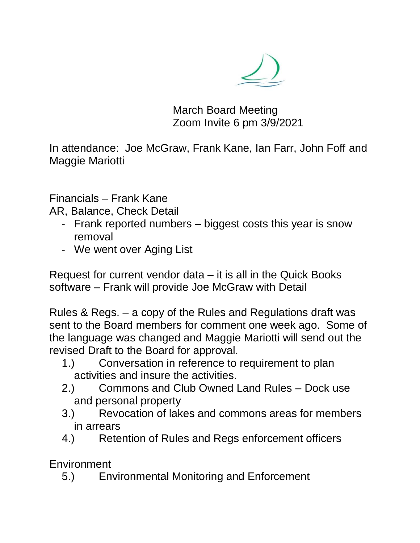

March Board Meeting Zoom Invite 6 pm 3/9/2021

In attendance: Joe McGraw, Frank Kane, Ian Farr, John Foff and Maggie Mariotti

Financials – Frank Kane

AR, Balance, Check Detail

- Frank reported numbers biggest costs this year is snow removal
- We went over Aging List

Request for current vendor data – it is all in the Quick Books software – Frank will provide Joe McGraw with Detail

Rules & Regs. – a copy of the Rules and Regulations draft was sent to the Board members for comment one week ago. Some of the language was changed and Maggie Mariotti will send out the revised Draft to the Board for approval.

- 1.) Conversation in reference to requirement to plan activities and insure the activities.
- 2.) Commons and Club Owned Land Rules Dock use and personal property
- 3.) Revocation of lakes and commons areas for members in arrears
- 4.) Retention of Rules and Regs enforcement officers

Environment

5.) Environmental Monitoring and Enforcement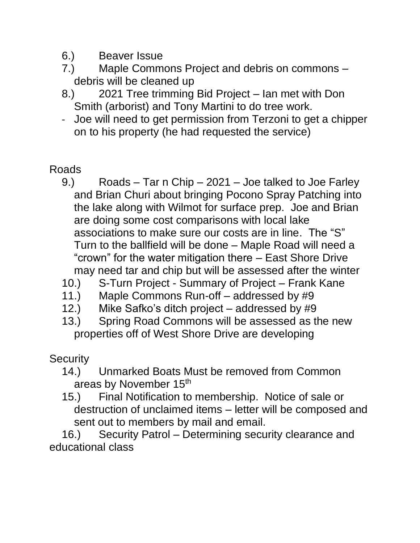- 6.) Beaver Issue
- 7.) Maple Commons Project and debris on commons debris will be cleaned up
- 8.) 2021 Tree trimming Bid Project Ian met with Don Smith (arborist) and Tony Martini to do tree work.
- Joe will need to get permission from Terzoni to get a chipper on to his property (he had requested the service)

## Roads

- 9.) Roads Tar n Chip 2021 Joe talked to Joe Farley and Brian Churi about bringing Pocono Spray Patching into the lake along with Wilmot for surface prep. Joe and Brian are doing some cost comparisons with local lake associations to make sure our costs are in line. The "S" Turn to the ballfield will be done – Maple Road will need a "crown" for the water mitigation there – East Shore Drive may need tar and chip but will be assessed after the winter
- 10.) S-Turn Project Summary of Project Frank Kane
- 11.) Maple Commons Run-off addressed by #9
- 12.) Mike Safko's ditch project addressed by #9
- 13.) Spring Road Commons will be assessed as the new properties off of West Shore Drive are developing

## **Security**

- 14.) Unmarked Boats Must be removed from Common areas by November 15<sup>th</sup>
- 15.) Final Notification to membership. Notice of sale or destruction of unclaimed items – letter will be composed and sent out to members by mail and email.

16.) Security Patrol – Determining security clearance and educational class